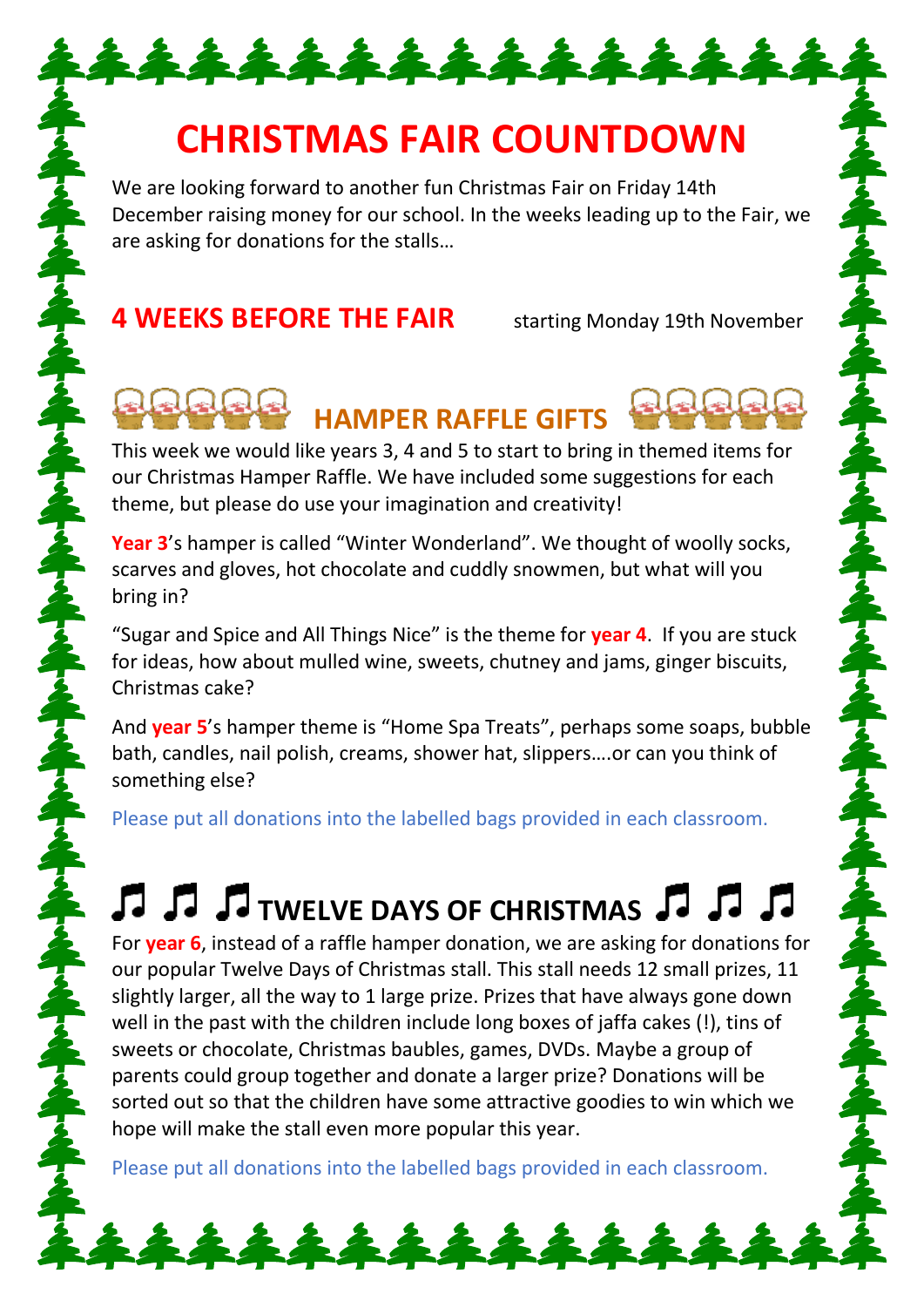### **CHRISTMAS FAIR COUNTDOWN**

\*\*\*\*\*\*\*\*\*\*\*\*\*\*

We are looking forward to another fun Christmas Fair on Friday 14th December raising money for our school. In the weeks leading up to the Fair, we are asking for donations for the stalls…

#### **4 WEEKS BEFORE THE FAIR** starting Monday 19th November

### **HAMPER RAFFLE GIFTS**

This week we would like years 3, 4 and 5 to start to bring in themed items for our Christmas Hamper Raffle. We have included some suggestions for each theme, but please do use your imagination and creativity!

**Year 3**'s hamper is called "Winter Wonderland". We thought of woolly socks, scarves and gloves, hot chocolate and cuddly snowmen, but what will you bring in?

"Sugar and Spice and All Things Nice" is the theme for **year 4**. If you are stuck for ideas, how about mulled wine, sweets, chutney and jams, ginger biscuits, Christmas cake?

And **year 5**'s hamper theme is "Home Spa Treats", perhaps some soaps, bubble bath, candles, nail polish, creams, shower hat, slippers….or can you think of something else?

Please put all donations into the labelled bags provided in each classroom.

# **T J J T** TWELVE DAYS OF CHRISTMAS **J J J**

For **year 6**, instead of a raffle hamper donation, we are asking for donations for our popular Twelve Days of Christmas stall. This stall needs 12 small prizes, 11 slightly larger, all the way to 1 large prize. Prizes that have always gone down well in the past with the children include long boxes of jaffa cakes (!), tins of sweets or chocolate, Christmas baubles, games, DVDs. Maybe a group of parents could group together and donate a larger prize? Donations will be sorted out so that the children have some attractive goodies to win which we hope will make the stall even more popular this year.

Please put all donations into the labelled bags provided in each classroom.

\*\*\*\*\*\*\*\*\*\*\*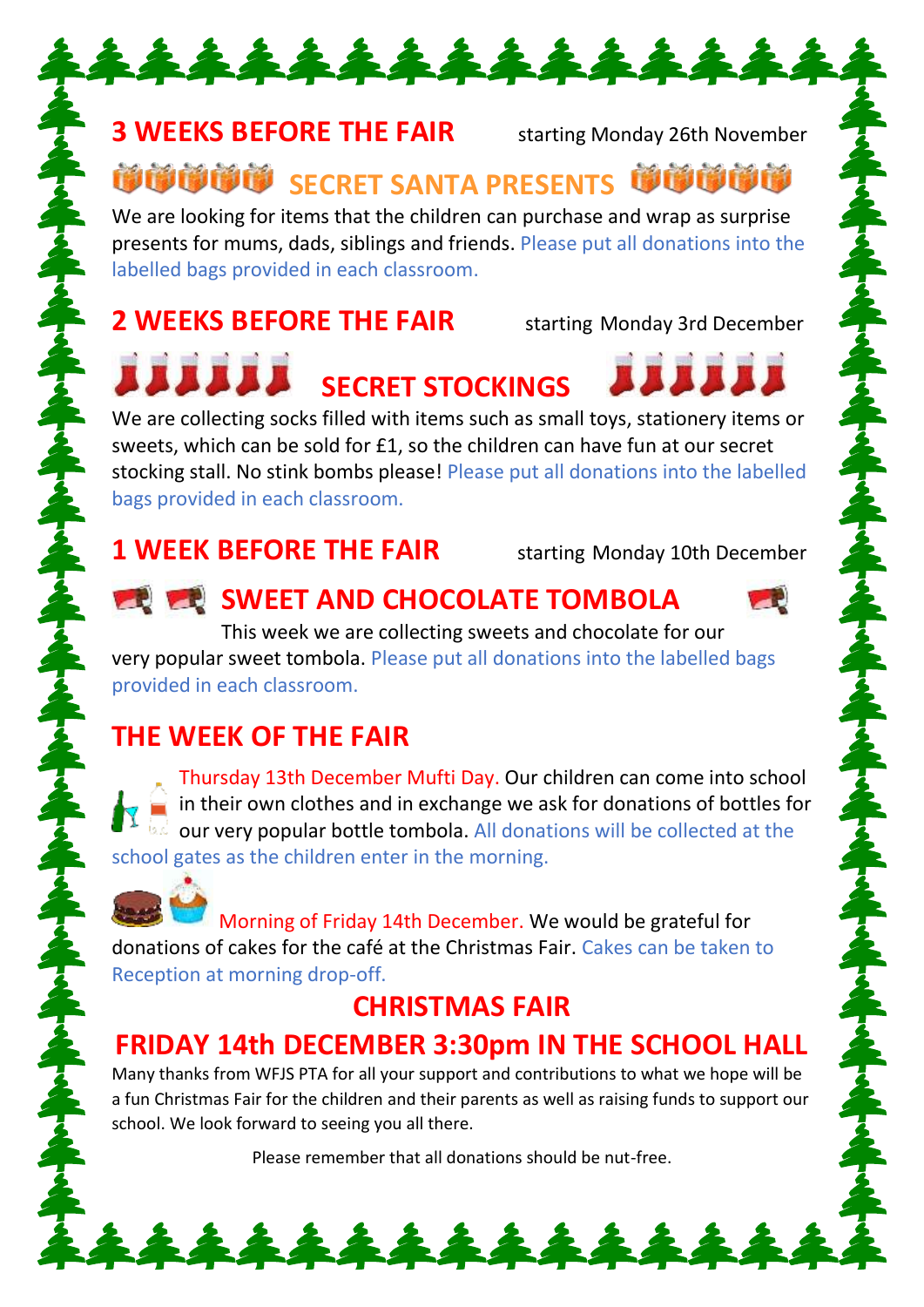#### **3 WEEKS BEFORE THE FAIR** starting Monday 26th November

**<sup><b>诊诊诊断 SECRET SANTA PRESENTS** 学学学学</sup>

\*\*\*\*\*\*\*\*\*\*\*\*\*\*\*\*

We are looking for items that the children can purchase and wrap as surprise presents for mums, dads, siblings and friends. Please put all donations into the labelled bags provided in each classroom.

#### **2 WEEKS BEFORE THE FAIR** starting Monday 3rd December

## **EXAMPLE SECRET STOCKINGS**

We are collecting socks filled with items such as small toys, stationery items or sweets, which can be sold for £1, so the children can have fun at our secret stocking stall. No stink bombs please! Please put all donations into the labelled bags provided in each classroom.

#### **1 WEEK BEFORE THE FAIR** starting Monday 10th December

### **SWEET AND CHOCOLATE TOMBOLA**

This week we are collecting sweets and chocolate for our very popular sweet tombola. Please put all donations into the labelled bags provided in each classroom.

#### **THE WEEK OF THE FAIR**

Thursday 13th December Mufti Day. Our children can come into school in their own clothes and in exchange we ask for donations of bottles for our very popular bottle tombola. All donations will be collected at the school gates as the children enter in the morning.

Morning of Friday 14th December. We would be grateful for donations of cakes for the café at the Christmas Fair. Cakes can be taken to Reception at morning drop-off.

#### **CHRISTMAS FAIR**

#### **FRIDAY 14th DECEMBER 3:30pm IN THE SCHOOL HALL**

Many thanks from WFJS PTA for all your support and contributions to what we hope will be a fun Christmas Fair for the children and their parents as well as raising funds to support our school. We look forward to seeing you all there.

Please remember that all donations should be nut-free.

\*\*\*\*\*\*\*\*\*\*\*